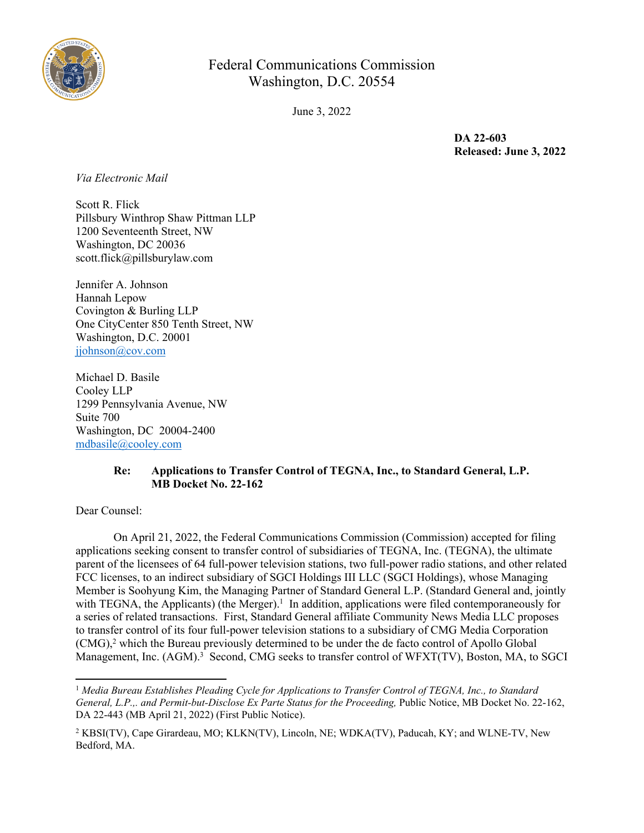

# Federal Communications Commission Washington, D.C. 20554

June 3, 2022

**DA 22-603 Released: June 3, 2022**

*Via Electronic Mail*

Scott R. Flick Pillsbury Winthrop Shaw Pittman LLP 1200 Seventeenth Street, NW Washington, DC 20036 scott.flick@pillsburylaw.com

Jennifer A. Johnson Hannah Lepow Covington & Burling LLP One CityCenter 850 Tenth Street, NW Washington, D.C. 20001 [jjohnson@cov.com](mailto:jjohnson@cov.com)

Michael D. Basile Cooley LLP 1299 Pennsylvania Avenue, NW Suite 700 Washington, DC 20004-2400 [mdbasile@cooley.com](mailto:mdbasile@cooley.com)

## **Re: Applications to Transfer Control of TEGNA, Inc., to Standard General, L.P. MB Docket No. 22-162**

Dear Counsel:

On April 21, 2022, the Federal Communications Commission (Commission) accepted for filing applications seeking consent to transfer control of subsidiaries of TEGNA, Inc. (TEGNA), the ultimate parent of the licensees of 64 full-power television stations, two full-power radio stations, and other related FCC licenses, to an indirect subsidiary of SGCI Holdings III LLC (SGCI Holdings), whose Managing Member is Soohyung Kim, the Managing Partner of Standard General L.P. (Standard General and, jointly with TEGNA, the Applicants) (the Merger).<sup>1</sup> In addition, applications were filed contemporaneously for a series of related transactions. First, Standard General affiliate Community News Media LLC proposes to transfer control of its four full-power television stations to a subsidiary of CMG Media Corporation (CMG),<sup>2</sup> which the Bureau previously determined to be under the de facto control of Apollo Global Management, Inc. (AGM).<sup>3</sup> Second, CMG seeks to transfer control of WFXT(TV), Boston, MA, to SGCI

<sup>1</sup> *Media Bureau Establishes Pleading Cycle for Applications to Transfer Control of TEGNA, Inc., to Standard General, L.P.,. and Permit-but-Disclose Ex Parte Status for the Proceeding, Public Notice, MB Docket No. 22-162,* DA 22-443 (MB April 21, 2022) (First Public Notice).

<sup>&</sup>lt;sup>2</sup> KBSI(TV), Cape Girardeau, MO; KLKN(TV), Lincoln, NE; WDKA(TV), Paducah, KY; and WLNE-TV, New Bedford, MA.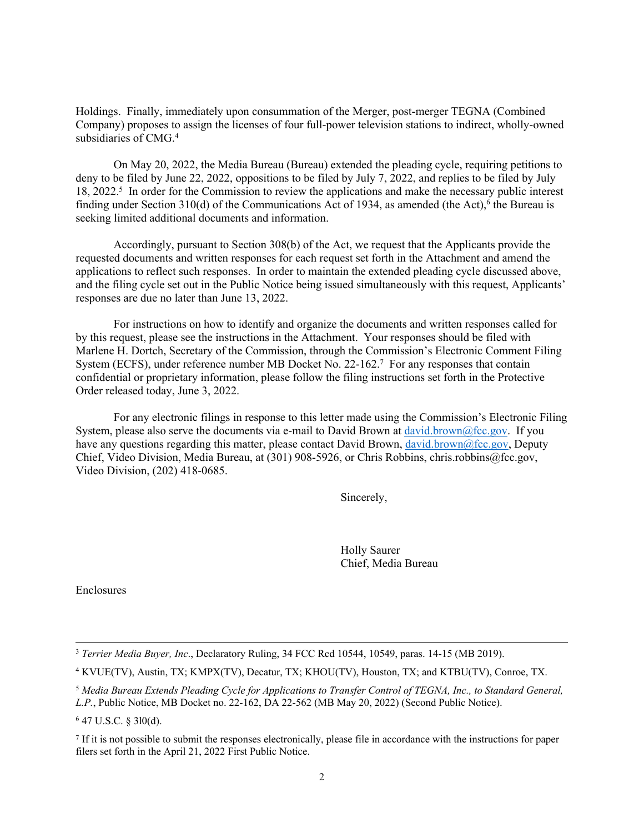Holdings. Finally, immediately upon consummation of the Merger, post-merger TEGNA (Combined Company) proposes to assign the licenses of four full-power television stations to indirect, wholly-owned subsidiaries of CMG.<sup>4</sup>

On May 20, 2022, the Media Bureau (Bureau) extended the pleading cycle, requiring petitions to deny to be filed by June 22, 2022, oppositions to be filed by July 7, 2022, and replies to be filed by July 18, 2022.<sup>5</sup> In order for the Commission to review the applications and make the necessary public interest finding under Section 310(d) of the Communications Act of 1934, as amended (the Act),<sup>6</sup> the Bureau is seeking limited additional documents and information.

Accordingly, pursuant to Section 308(b) of the Act, we request that the Applicants provide the requested documents and written responses for each request set forth in the Attachment and amend the applications to reflect such responses. In order to maintain the extended pleading cycle discussed above, and the filing cycle set out in the Public Notice being issued simultaneously with this request, Applicants' responses are due no later than June 13, 2022.

For instructions on how to identify and organize the documents and written responses called for by this request, please see the instructions in the Attachment. Your responses should be filed with Marlene H. Dortch, Secretary of the Commission, through the Commission's Electronic Comment Filing System (ECFS), under reference number MB Docket No. 22-162.<sup>7</sup> For any responses that contain confidential or proprietary information, please follow the filing instructions set forth in the Protective Order released today, June 3, 2022.

For any electronic filings in response to this letter made using the Commission's Electronic Filing System, please also serve the documents via e-mail to David Brown at [david.brown@fcc.gov.](mailto:david.brown@fcc.gov) If you have any questions regarding this matter, please contact David Brown, [david.brown@fcc.gov,](mailto:david.brown@fcc.gov) Deputy Chief, Video Division, Media Bureau, at (301) 908-5926, or Chris Robbins, chris.robbins@fcc.gov, Video Division, (202) 418-0685.

Sincerely,

Holly Saurer Chief, Media Bureau

Enclosures

6 47 U.S.C. § 3l0(d).

<sup>3</sup> *Terrier Media Buyer, Inc*., Declaratory Ruling, 34 FCC Rcd 10544, 10549, paras. 14-15 (MB 2019).

<sup>4</sup> KVUE(TV), Austin, TX; KMPX(TV), Decatur, TX; KHOU(TV), Houston, TX; and KTBU(TV), Conroe, TX.

<sup>5</sup> *Media Bureau Extends Pleading Cycle for Applications to Transfer Control of TEGNA, Inc., to Standard General, L.P.*, Public Notice, MB Docket no. 22-162, DA 22-562 (MB May 20, 2022) (Second Public Notice).

 $<sup>7</sup>$  If it is not possible to submit the responses electronically, please file in accordance with the instructions for paper</sup> filers set forth in the April 21, 2022 First Public Notice.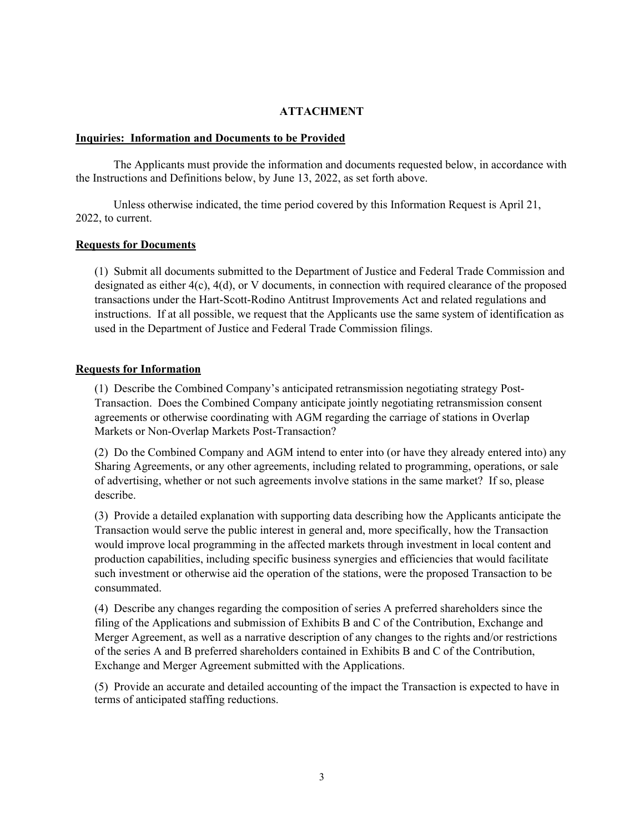## **ATTACHMENT**

#### **Inquiries: Information and Documents to be Provided**

The Applicants must provide the information and documents requested below, in accordance with the Instructions and Definitions below, by June 13, 2022, as set forth above.

Unless otherwise indicated, the time period covered by this Information Request is April 21, 2022, to current.

### **Requests for Documents**

(1) Submit all documents submitted to the Department of Justice and Federal Trade Commission and designated as either  $4(c)$ ,  $4(d)$ , or V documents, in connection with required clearance of the proposed transactions under the Hart-Scott-Rodino Antitrust Improvements Act and related regulations and instructions. If at all possible, we request that the Applicants use the same system of identification as used in the Department of Justice and Federal Trade Commission filings.

## **Requests for Information**

(1) Describe the Combined Company's anticipated retransmission negotiating strategy Post-Transaction. Does the Combined Company anticipate jointly negotiating retransmission consent agreements or otherwise coordinating with AGM regarding the carriage of stations in Overlap Markets or Non-Overlap Markets Post-Transaction?

(2) Do the Combined Company and AGM intend to enter into (or have they already entered into) any Sharing Agreements, or any other agreements, including related to programming, operations, or sale of advertising, whether or not such agreements involve stations in the same market? If so, please describe.

(3) Provide a detailed explanation with supporting data describing how the Applicants anticipate the Transaction would serve the public interest in general and, more specifically, how the Transaction would improve local programming in the affected markets through investment in local content and production capabilities, including specific business synergies and efficiencies that would facilitate such investment or otherwise aid the operation of the stations, were the proposed Transaction to be consummated.

(4) Describe any changes regarding the composition of series A preferred shareholders since the filing of the Applications and submission of Exhibits B and C of the Contribution, Exchange and Merger Agreement, as well as a narrative description of any changes to the rights and/or restrictions of the series A and B preferred shareholders contained in Exhibits B and C of the Contribution, Exchange and Merger Agreement submitted with the Applications.

(5) Provide an accurate and detailed accounting of the impact the Transaction is expected to have in terms of anticipated staffing reductions.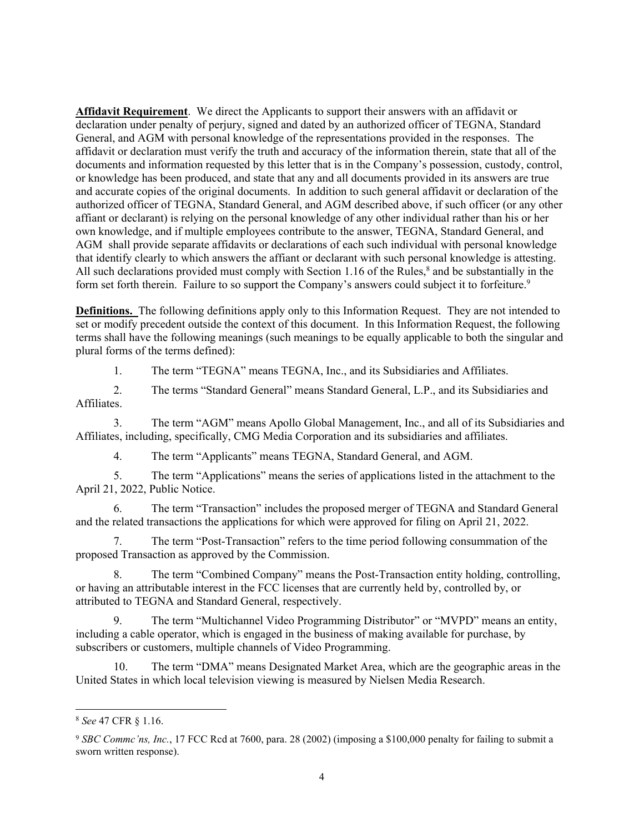**Affidavit Requirement**. We direct the Applicants to support their answers with an affidavit or declaration under penalty of perjury, signed and dated by an authorized officer of TEGNA, Standard General, and AGM with personal knowledge of the representations provided in the responses. The affidavit or declaration must verify the truth and accuracy of the information therein, state that all of the documents and information requested by this letter that is in the Company's possession, custody, control, or knowledge has been produced, and state that any and all documents provided in its answers are true and accurate copies of the original documents. In addition to such general affidavit or declaration of the authorized officer of TEGNA, Standard General, and AGM described above, if such officer (or any other affiant or declarant) is relying on the personal knowledge of any other individual rather than his or her own knowledge, and if multiple employees contribute to the answer, TEGNA, Standard General, and AGM shall provide separate affidavits or declarations of each such individual with personal knowledge that identify clearly to which answers the affiant or declarant with such personal knowledge is attesting. All such declarations provided must comply with Section 1.16 of the Rules,<sup>8</sup> and be substantially in the form set forth therein. Failure to so support the Company's answers could subject it to forfeiture.<sup>9</sup>

**Definitions.** The following definitions apply only to this Information Request. They are not intended to set or modify precedent outside the context of this document. In this Information Request, the following terms shall have the following meanings (such meanings to be equally applicable to both the singular and plural forms of the terms defined):

1. The term "TEGNA" means TEGNA, Inc., and its Subsidiaries and Affiliates.

2. The terms "Standard General" means Standard General, L.P., and its Subsidiaries and Affiliates.

3. The term "AGM" means Apollo Global Management, Inc., and all of its Subsidiaries and Affiliates, including, specifically, CMG Media Corporation and its subsidiaries and affiliates.

4. The term "Applicants" means TEGNA, Standard General, and AGM.

5. The term "Applications" means the series of applications listed in the attachment to the April 21, 2022, Public Notice.

6. The term "Transaction" includes the proposed merger of TEGNA and Standard General and the related transactions the applications for which were approved for filing on April 21, 2022.

7. The term "Post-Transaction" refers to the time period following consummation of the proposed Transaction as approved by the Commission.

8. The term "Combined Company" means the Post-Transaction entity holding, controlling, or having an attributable interest in the FCC licenses that are currently held by, controlled by, or attributed to TEGNA and Standard General, respectively.

9. The term "Multichannel Video Programming Distributor" or "MVPD" means an entity, including a cable operator, which is engaged in the business of making available for purchase, by subscribers or customers, multiple channels of Video Programming.

10. The term "DMA" means Designated Market Area, which are the geographic areas in the United States in which local television viewing is measured by Nielsen Media Research.

<sup>8</sup> *See* 47 CFR § 1.16.

<sup>9</sup> *SBC Commc'ns, Inc.*, 17 FCC Rcd at 7600, para. 28 (2002) (imposing a \$100,000 penalty for failing to submit a sworn written response).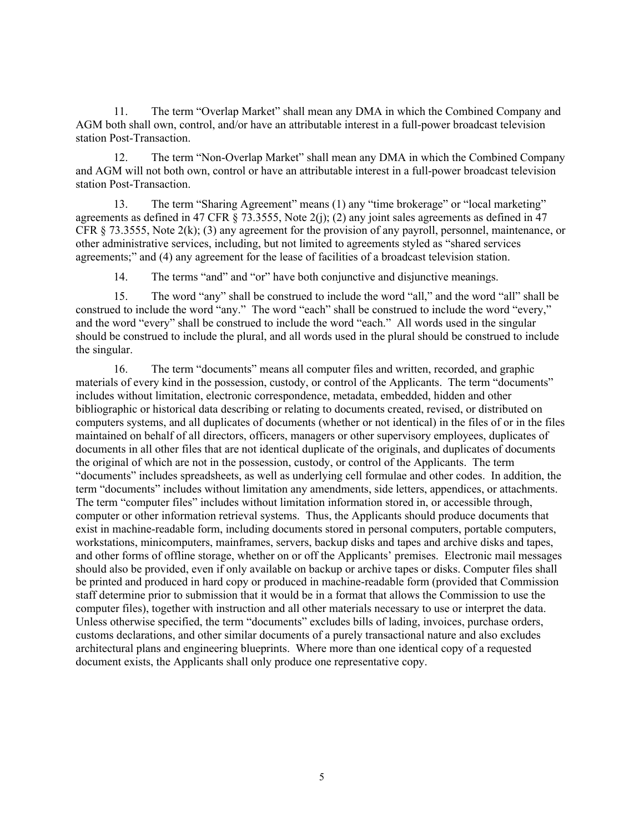11. The term "Overlap Market" shall mean any DMA in which the Combined Company and AGM both shall own, control, and/or have an attributable interest in a full-power broadcast television station Post-Transaction.

12. The term "Non-Overlap Market" shall mean any DMA in which the Combined Company and AGM will not both own, control or have an attributable interest in a full-power broadcast television station Post-Transaction.

13. The term "Sharing Agreement" means (1) any "time brokerage" or "local marketing" agreements as defined in 47 CFR § 73.3555, Note 2(j); (2) any joint sales agreements as defined in 47 CFR  $\S$  73.3555, Note 2(k); (3) any agreement for the provision of any payroll, personnel, maintenance, or other administrative services, including, but not limited to agreements styled as "shared services agreements;" and (4) any agreement for the lease of facilities of a broadcast television station.

14. The terms "and" and "or" have both conjunctive and disjunctive meanings.

15. The word "any" shall be construed to include the word "all," and the word "all" shall be construed to include the word "any." The word "each" shall be construed to include the word "every," and the word "every" shall be construed to include the word "each." All words used in the singular should be construed to include the plural, and all words used in the plural should be construed to include the singular.

16. The term "documents" means all computer files and written, recorded, and graphic materials of every kind in the possession, custody, or control of the Applicants. The term "documents" includes without limitation, electronic correspondence, metadata, embedded, hidden and other bibliographic or historical data describing or relating to documents created, revised, or distributed on computers systems, and all duplicates of documents (whether or not identical) in the files of or in the files maintained on behalf of all directors, officers, managers or other supervisory employees, duplicates of documents in all other files that are not identical duplicate of the originals, and duplicates of documents the original of which are not in the possession, custody, or control of the Applicants. The term "documents" includes spreadsheets, as well as underlying cell formulae and other codes. In addition, the term "documents" includes without limitation any amendments, side letters, appendices, or attachments. The term "computer files" includes without limitation information stored in, or accessible through, computer or other information retrieval systems. Thus, the Applicants should produce documents that exist in machine-readable form, including documents stored in personal computers, portable computers, workstations, minicomputers, mainframes, servers, backup disks and tapes and archive disks and tapes, and other forms of offline storage, whether on or off the Applicants' premises. Electronic mail messages should also be provided, even if only available on backup or archive tapes or disks. Computer files shall be printed and produced in hard copy or produced in machine-readable form (provided that Commission staff determine prior to submission that it would be in a format that allows the Commission to use the computer files), together with instruction and all other materials necessary to use or interpret the data. Unless otherwise specified, the term "documents" excludes bills of lading, invoices, purchase orders, customs declarations, and other similar documents of a purely transactional nature and also excludes architectural plans and engineering blueprints. Where more than one identical copy of a requested document exists, the Applicants shall only produce one representative copy.